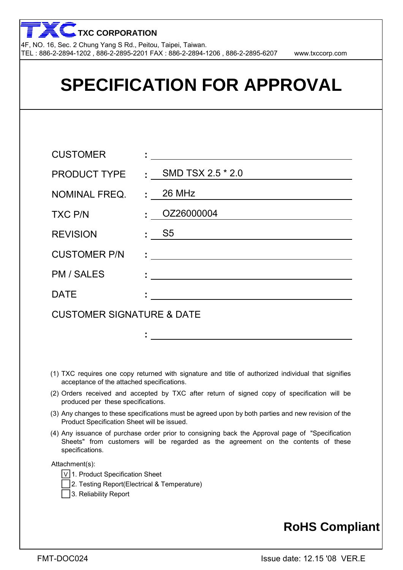

| <b>SPECIFICATION FOR APPROVAL</b>    |                                                                          |  |  |  |  |
|--------------------------------------|--------------------------------------------------------------------------|--|--|--|--|
|                                      |                                                                          |  |  |  |  |
| <b>CUSTOMER</b>                      | <u> 1989 - Andrea Andrew Maria (h. 1989).</u>                            |  |  |  |  |
| <b>PRODUCT TYPE</b>                  | : SMD TSX 2.5 $*$ 2.0                                                    |  |  |  |  |
| <b>NOMINAL FREQ.</b>                 | $\pm 26$ MHz                                                             |  |  |  |  |
| <b>TXC P/N</b>                       | OZ26000004<br>$\mathbf{r}$                                               |  |  |  |  |
| <b>REVISION</b>                      | $\mathsf{S}5$                                                            |  |  |  |  |
| <b>CUSTOMER P/N</b>                  | <u> 1980 - Johann John Stein, markin fizik eta idazlearia (h. 1980).</u> |  |  |  |  |
| <b>PM / SALES</b>                    |                                                                          |  |  |  |  |
| <b>DATE</b>                          |                                                                          |  |  |  |  |
| <b>CUSTOMER SIGNATURE &amp; DATE</b> |                                                                          |  |  |  |  |
|                                      |                                                                          |  |  |  |  |

- (1) TXC requires one copy returned with signature and title of authorized individual that signifies acceptance of the attached specifications.
- (2) Orders received and accepted by TXC after return of signed copy of specification will be produced per these specifications.
- (3) Any changes to these specifications must be agreed upon by both parties and new revision of the Product Specification Sheet will be issued.
- (4) Any issuance of purchase order prior to consigning back the Approval page of "Specification Sheets" from customers will be regarded as the agreement on the contents of these specifications.

Attachment(s):

- V 1. Product Specification Sheet
- 2. Testing Report(Electrical & Temperature)
- 3. Reliability Report

## **RoHS Compliant**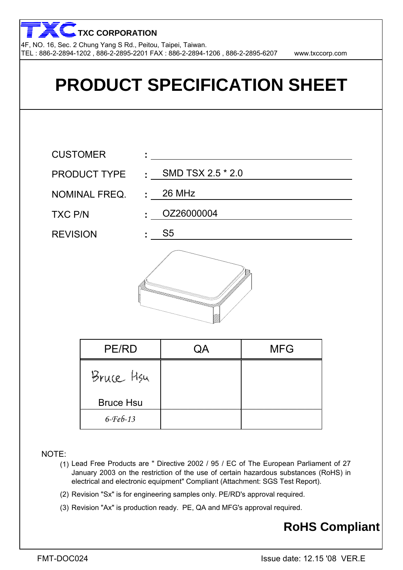4F, NO. 16, Sec. 2 Chung Yang S Rd., Peitou, Taipei, Taiwan. TEL : 886-2-2894-1202 , 886-2-2895-2201 FAX : 886-2-2894-1206 , 886-2-2895-6207 www.txccorp.com **TXC CORPORATION**



NOTE:

- (1) Lead Free Products are " Directive 2002 / 95 / EC of The European Parliament of 27 January 2003 on the restriction of the use of certain hazardous substances (RoHS) in electrical and electronic equipment" Compliant (Attachment: SGS Test Report).
- (2) Revision "Sx" is for engineering samples only. PE/RD's approval required.
- (3) Revision "Ax" is production ready. PE, QA and MFG's approval required.

## **RoHS Compliant**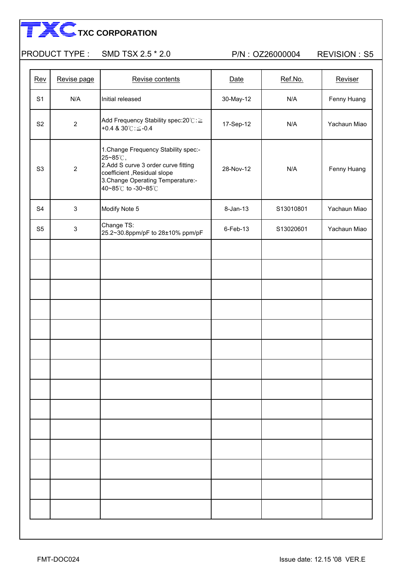#### PRODUCT TYPE : SMD TSX 2.5 \* 2.0 P/N : OZ26000004 REVISION : S5

| Rev            | Revise page               | Revise contents                                                                                                                                                                  | Date         | Ref.No.   | Reviser      |
|----------------|---------------------------|----------------------------------------------------------------------------------------------------------------------------------------------------------------------------------|--------------|-----------|--------------|
| S <sub>1</sub> | N/A                       | Initial released                                                                                                                                                                 | 30-May-12    | N/A       | Fenny Huang  |
| S <sub>2</sub> | $\mathbf{2}$              | Add Frequency Stability spec:20℃:≧<br>+0.4 & $30^{\circ}$ C: $\leq$ -0.4                                                                                                         | 17-Sep-12    | N/A       | Yachaun Miao |
| S <sub>3</sub> | $\overline{2}$            | 1. Change Frequency Stability spec:-<br>25~85℃,<br>2.Add S curve 3 order curve fitting<br>coefficient , Residual slope<br>3. Change Operating Temperature:-<br>40~85℃ to -30~85℃ | 28-Nov-12    | N/A       | Fenny Huang  |
| S <sub>4</sub> | $\sqrt{3}$                | Modify Note 5                                                                                                                                                                    | $8 - Jan-13$ | S13010801 | Yachaun Miao |
| S <sub>5</sub> | $\ensuremath{\mathsf{3}}$ | Change TS:<br>25.2~30.8ppm/pF to 28±10% ppm/pF                                                                                                                                   | $6$ -Feb-13  | S13020601 | Yachaun Miao |
|                |                           |                                                                                                                                                                                  |              |           |              |
|                |                           |                                                                                                                                                                                  |              |           |              |
|                |                           |                                                                                                                                                                                  |              |           |              |
|                |                           |                                                                                                                                                                                  |              |           |              |
|                |                           |                                                                                                                                                                                  |              |           |              |
|                |                           |                                                                                                                                                                                  |              |           |              |
|                |                           |                                                                                                                                                                                  |              |           |              |
|                |                           |                                                                                                                                                                                  |              |           |              |
|                |                           |                                                                                                                                                                                  |              |           |              |
|                |                           |                                                                                                                                                                                  |              |           |              |
|                |                           |                                                                                                                                                                                  |              |           |              |
|                |                           |                                                                                                                                                                                  |              |           |              |
|                |                           |                                                                                                                                                                                  |              |           |              |
|                |                           |                                                                                                                                                                                  |              |           |              |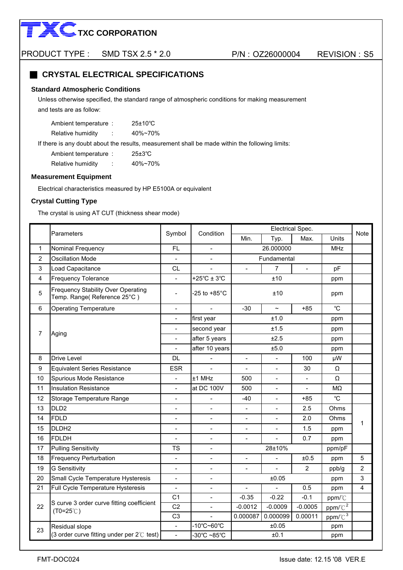

#### **EXPLOSED CRYSTAL ELECTRICAL SPECIFICATIONS**

#### **Standard Atmospheric Conditions**

 and tests are as follow: Unless otherwise specified, the standard range of atmospheric conditions for making measurement

| Ambient temperature: | $25\pm10^{\circ}$ C |
|----------------------|---------------------|
|----------------------|---------------------|

Relative humidity : 40%~70%

If there is any doubt about the results, measurement shall be made within the following limits:

| Ambient temperature: |        | $25\pm3\degree C$ |
|----------------------|--------|-------------------|
| Relative humidity    | ٠<br>٠ | $40\%$ ~70%       |

#### **Measurement Equipment**

Electrical characteristics measured by HP E5100A or equivalent

#### **Crystal Cutting Type**

The crystal is using AT CUT (thickness shear mode)

|                         | Parameters                                                               |                              | Condition                |                                                             |                              | Electrical Spec. |             | Note           |
|-------------------------|--------------------------------------------------------------------------|------------------------------|--------------------------|-------------------------------------------------------------|------------------------------|------------------|-------------|----------------|
|                         |                                                                          | Symbol                       |                          | Min.                                                        | Typ.                         | Max.             | Units       |                |
| 1                       | Nominal Frequency                                                        | FL.                          |                          |                                                             | 26.000000                    |                  |             |                |
| $\overline{2}$          | <b>Oscillation Mode</b>                                                  | $\frac{1}{2}$                | $\overline{\phantom{0}}$ |                                                             | Fundamental                  |                  |             |                |
| 3                       | Load Capacitance                                                         | <b>CL</b>                    |                          |                                                             | $\overline{7}$               | $\overline{a}$   | pF          |                |
| $\overline{\mathbf{4}}$ | Frequency Tolerance                                                      |                              | +25 $°C \pm 3°C$         |                                                             | ±10                          |                  | ppm         |                |
| $\sqrt{5}$              | <b>Frequency Stability Over Operating</b><br>Temp. Range(Reference 25°C) | $\overline{\phantom{0}}$     | $-25$ to $+85^{\circ}$ C |                                                             | ±10                          |                  | ppm         |                |
| 6                       | <b>Operating Temperature</b>                                             | $\frac{1}{2}$                |                          | $-30$                                                       | $\tilde{}$                   | $+85$            | $^{\circ}C$ |                |
|                         |                                                                          | $\overline{\phantom{a}}$     | first year               |                                                             | ±1.0                         |                  | ppm         |                |
| $\overline{7}$          |                                                                          |                              | second year              |                                                             | ±1.5                         |                  | ppm         |                |
|                         | Aging                                                                    |                              | after 5 years            |                                                             | ±2.5                         |                  | ppm         |                |
|                         |                                                                          | $\overline{a}$               | after 10 years           |                                                             | ±5.0                         |                  | ppm         |                |
| 8                       | <b>Drive Level</b>                                                       | <b>DL</b>                    |                          | $\Box$                                                      | 100                          |                  |             |                |
| 9                       | <b>Equivalent Series Resistance</b>                                      | <b>ESR</b>                   |                          | 30<br>$\overline{\phantom{a}}$                              |                              |                  | Ω           |                |
| 10                      | Spurious Mode Resistance                                                 | $\qquad \qquad \blacksquare$ | ±1 MHz                   | 500<br>$\overline{\phantom{a}}$<br>$\overline{\phantom{a}}$ |                              |                  | Ω           |                |
| 11                      | <b>Insulation Resistance</b>                                             | $\overline{a}$               | at DC 100V               | 500                                                         |                              | $\overline{a}$   | MΩ          |                |
| 12                      | Storage Temperature Range                                                | $\overline{\phantom{a}}$     | $\overline{a}$           | $-40$                                                       |                              | $+85$            | $^{\circ}C$ |                |
| 13                      | DLD <sub>2</sub>                                                         | $\overline{a}$               | $\overline{a}$           | $\mathbb{L}$                                                | $\overline{\phantom{a}}$     | 2.5              | Ohms        |                |
| 14                      | FDLD                                                                     |                              | $\overline{a}$           | $\blacksquare$                                              |                              | 2.0              | Ohms        | 1              |
| 15                      | DLDH <sub>2</sub>                                                        | $\qquad \qquad \blacksquare$ | $\qquad \qquad -$        | $\qquad \qquad \blacksquare$                                | $\qquad \qquad \blacksquare$ | 1.5              | ppm         |                |
| 16                      | FDLDH                                                                    | $\overline{a}$               | $\overline{a}$           | $\overline{a}$                                              |                              | 0.7              | ppm         |                |
| 17                      | <b>Pulling Sensitivity</b>                                               | <b>TS</b>                    | $\overline{a}$           |                                                             | 28±10%                       |                  | ppm/pF      |                |
| 18                      | <b>Frequency Perturbation</b>                                            | ÷.                           | $\overline{\phantom{a}}$ | $\blacksquare$                                              | $\overline{\phantom{a}}$     | ±0.5             | ppm         | 5              |
| 19                      | <b>G</b> Sensitivity                                                     | $\overline{a}$               | $\overline{a}$           | $\sim$                                                      | $\overline{a}$               | $\overline{2}$   | ppb/g       | $\overline{2}$ |
| 20                      | Small Cycle Temperature Hysteresis                                       | $\overline{a}$               | $\overline{a}$           |                                                             | ±0.05                        |                  | ppm         | $\mathfrak{S}$ |
| 21                      | Full Cycle Temperature Hysteresis                                        | $\overline{\phantom{a}}$     | $\blacksquare$           | $\blacksquare$                                              |                              | 0.5              | ppm         | 4              |
|                         |                                                                          | C <sub>1</sub>               | $\overline{a}$           | $-0.35$                                                     | $-0.22$                      | $-0.1$           | ppm/°C      |                |
| 22                      | S curve 3 order curve fitting coefficient<br>$(T0=25^{\circ}C)$          | C <sub>2</sub>               | $\overline{a}$           | $-0.0012$                                                   | $-0.0009$                    | $-0.0005$        | $ppm/C^2$   |                |
|                         |                                                                          | C <sub>3</sub>               |                          | 0.000087                                                    | 0.000099                     | 0.00011          | $ppm/C^3$   |                |
| 23                      | Residual slope                                                           | $\overline{\phantom{0}}$     | -10°C~60°C               |                                                             | ±0.05                        |                  | ppm         |                |
|                         | (3 order curve fitting under per $2^{\circ}$ test)                       | ÷.                           | -30°C ~85°C              |                                                             | ±0.1                         |                  | ppm         |                |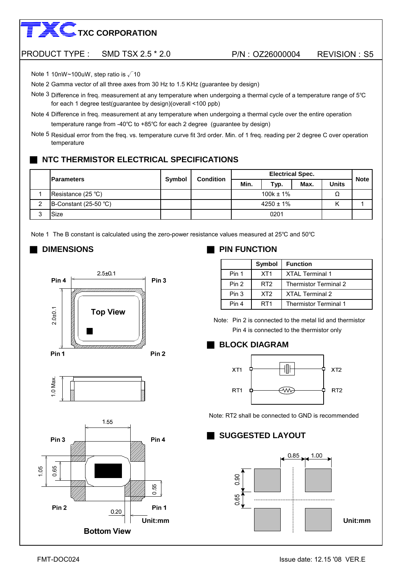#### PRODUCT TYPE : SMD TSX 2.5 \* 2.0 P/N : OZ26000004 REVISION : S5

Note 1 10nW~100uW, step ratio is √10

Note 2 Gamma vector of all three axes from 30 Hz to 1.5 KHz (guarantee by design)

Note 3 Difference in freq. measurement at any temperature when undergoing a thermal cycle of a temperature range of 5℃ for each 1 degree test(guarantee by design)(overall <100 ppb)

temperature range from -40℃ to +85℃ for each 2 degree (guarantee by design) Note 4 Difference in freq. measurement at any temperature when undergoing a thermal cycle over the entire operation

Note 5 Residual error from the freq. vs. temperature curve fit 3rd order. Min. of 1 freq. reading per 2 degree C over operation temperature

### **NTC THERMISTOR ELECTRICAL SPECIFICATIONS**

|        | <b>IParameters</b>    | Symbol | <b>Condition</b> | <b>Electrical Spec.</b> |                |      |              | <b>Note</b> |
|--------|-----------------------|--------|------------------|-------------------------|----------------|------|--------------|-------------|
|        |                       |        |                  | Min.                    | Typ.           | Max. | <b>Units</b> |             |
|        | Resistance (25 °C)    |        |                  |                         | $100k \pm 1\%$ |      |              |             |
| ົ<br>∸ | B-Constant (25-50 °C) |        |                  |                         | $4250 \pm 1\%$ |      |              |             |
| ⌒      | Size                  |        |                  |                         | 0201           |      |              |             |

Note 1 The B constant is calculated using the zero-power resistance values measured at 25°C and 50°C







### ■ **DIMENSIONS** ■ **PIN FUNCTION**

|       | Symbol          | <b>Function</b>              |
|-------|-----------------|------------------------------|
| Pin 1 | XT <sub>1</sub> | <b>XTAL Terminal 1</b>       |
| Pin 2 | RT <sub>2</sub> | <b>Thermistor Terminal 2</b> |
| Pin 3 | XT <sub>2</sub> | <b>XTAL Terminal 2</b>       |
| Pin 4 | RT <sub>1</sub> | Thermistor Terminal 1        |

Note: Pin 2 is connected to the metal lid and thermistor Pin 4 is connected to the thermistor only

#### ■ **BLOCK DIAGRAM**



Note: RT2 shall be connected to GND is recommended

#### ■ **SUGGESTED LAYOUT**

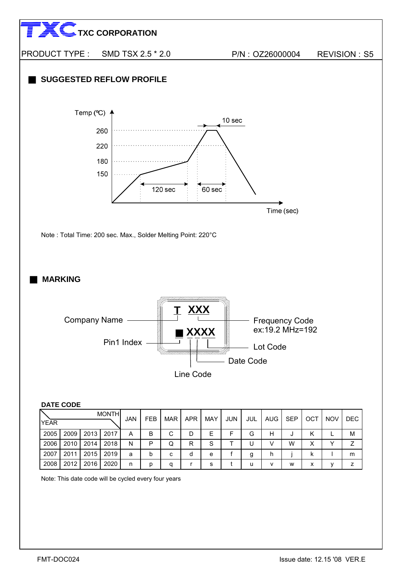

Note: This date code will be cycled every four years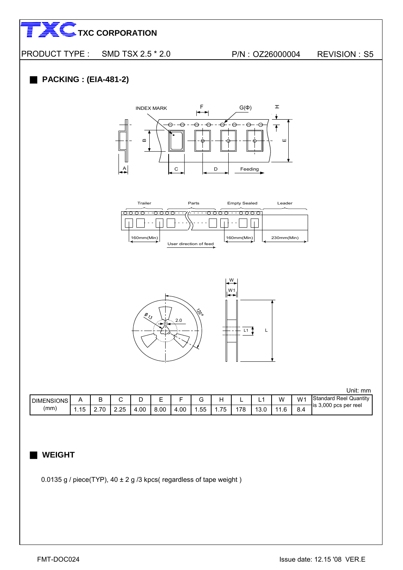



| <b>DIMENSIONS</b> |                    | -        |           |     | -<br>_ |     | ◡         |                                                 | -         | -   | w | $W^*$ | Standard<br>Reel<br>Quantity |
|-------------------|--------------------|----------|-----------|-----|--------|-----|-----------|-------------------------------------------------|-----------|-----|---|-------|------------------------------|
| (mm)              | $-$<br>- 1 к<br>יי | <u>.</u> | つら<br>ے.ء | .00 | 8.00   | .00 | ՟՟<br>ں ب | $\overline{\phantom{a}}$<br>ں ۔<br>. . <i>.</i> | 70<br>. 0 | v.v |   | 8.4   | 3,000 pcs per reel<br>lis    |

### ■ **WEIGHT**

0.0135 g / piece(TYP),  $40 \pm 2$  g /3 kpcs( regardless of tape weight)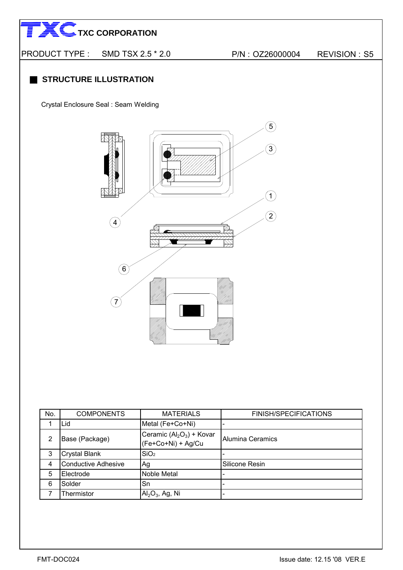PRODUCT TYPE : SMD TSX 2.5 \* 2.0 P/N : OZ26000004 REVISION : S5

### **STRUCTURE ILLUSTRATION**

Crystal Enclosure Seal : Seam Welding



| No. | <b>COMPONENTS</b>          | <b>MATERIALS</b>                                | <b>FINISH/SPECIFICATIONS</b> |
|-----|----------------------------|-------------------------------------------------|------------------------------|
|     | Lid                        | Metal (Fe+Co+Ni)                                |                              |
| 2   | Base (Package)             | Ceramic $(Al2O3)$ + Kovar<br>(Fe+Co+Ni) + Ag/Cu | <b>Alumina Ceramics</b>      |
| 3   | <b>Crystal Blank</b>       | SiO <sub>2</sub>                                |                              |
| 4   | <b>Conductive Adhesive</b> | Ag                                              | Silicone Resin               |
| 5   | Electrode                  | Noble Metal                                     | -                            |
| 6   | Solder                     | Sn                                              | $\overline{\phantom{0}}$     |
|     | Thermistor                 | $\text{Al}_2\text{O}_3$ , Ag, Ni                | $\overline{\phantom{a}}$     |